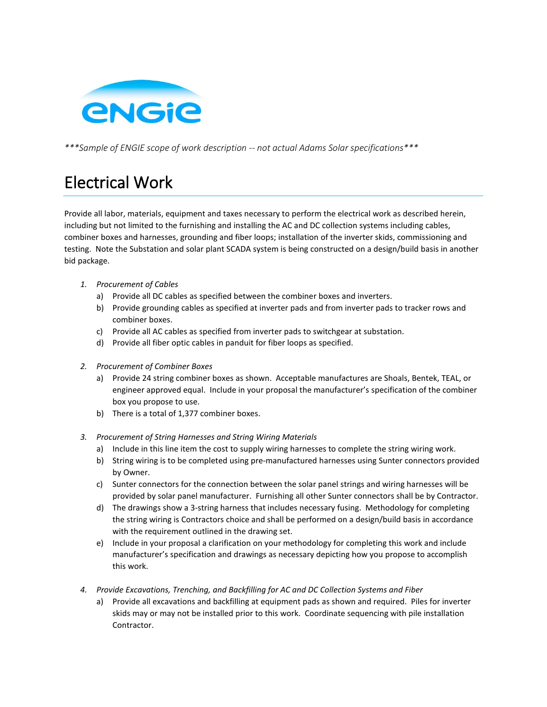

*\*\*\*Sample of ENGIE scope of work description -- not actual Adams Solar specifications\*\*\**

## Electrical Work

Provide all labor, materials, equipment and taxes necessary to perform the electrical work as described herein, including but not limited to the furnishing and installing the AC and DC collection systems including cables, combiner boxes and harnesses, grounding and fiber loops; installation of the inverter skids, commissioning and testing. Note the Substation and solar plant SCADA system is being constructed on a design/build basis in another bid package.

- *1. Procurement of Cables*
	- a) Provide all DC cables as specified between the combiner boxes and inverters.
	- b) Provide grounding cables as specified at inverter pads and from inverter pads to tracker rows and combiner boxes.
	- c) Provide all AC cables as specified from inverter pads to switchgear at substation.
	- d) Provide all fiber optic cables in panduit for fiber loops as specified.
- *2. Procurement of Combiner Boxes* 
	- a) Provide 24 string combiner boxes as shown. Acceptable manufactures are Shoals, Bentek, TEAL, or engineer approved equal. Include in your proposal the manufacturer's specification of the combiner box you propose to use.
	- b) There is a total of 1,377 combiner boxes.
- *3. Procurement of String Harnesses and String Wiring Materials*
	- a) Include in this line item the cost to supply wiring harnesses to complete the string wiring work.
	- b) String wiring is to be completed using pre-manufactured harnesses using Sunter connectors provided by Owner.
	- c) Sunter connectors for the connection between the solar panel strings and wiring harnesses will be provided by solar panel manufacturer. Furnishing all other Sunter connectors shall be by Contractor.
	- d) The drawings show a 3-string harness that includes necessary fusing. Methodology for completing the string wiring is Contractors choice and shall be performed on a design/build basis in accordance with the requirement outlined in the drawing set.
	- e) Include in your proposal a clarification on your methodology for completing this work and include manufacturer's specification and drawings as necessary depicting how you propose to accomplish this work.
- *4. Provide Excavations, Trenching, and Backfilling for AC and DC Collection Systems and Fiber*
	- a) Provide all excavations and backfilling at equipment pads as shown and required. Piles for inverter skids may or may not be installed prior to this work. Coordinate sequencing with pile installation Contractor.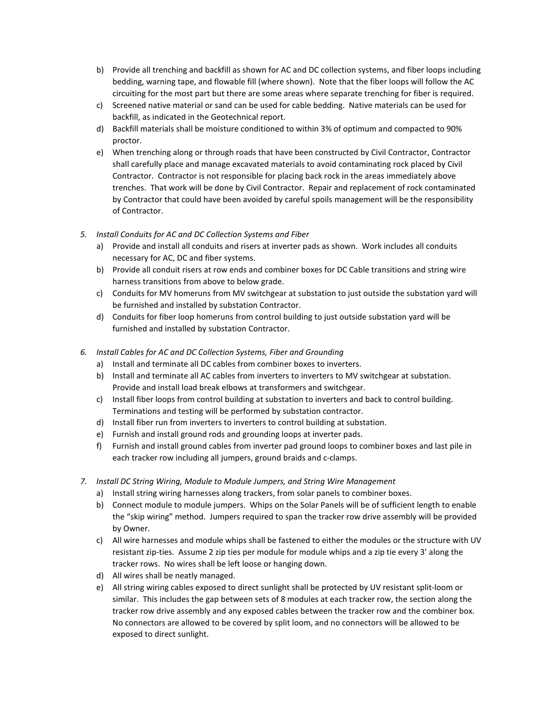- b) Provide all trenching and backfill as shown for AC and DC collection systems, and fiber loops including bedding, warning tape, and flowable fill (where shown). Note that the fiber loops will follow the AC circuiting for the most part but there are some areas where separate trenching for fiber is required.
- c) Screened native material or sand can be used for cable bedding. Native materials can be used for backfill, as indicated in the Geotechnical report.
- d) Backfill materials shall be moisture conditioned to within 3% of optimum and compacted to 90% proctor.
- e) When trenching along or through roads that have been constructed by Civil Contractor, Contractor shall carefully place and manage excavated materials to avoid contaminating rock placed by Civil Contractor. Contractor is not responsible for placing back rock in the areas immediately above trenches. That work will be done by Civil Contractor. Repair and replacement of rock contaminated by Contractor that could have been avoided by careful spoils management will be the responsibility of Contractor.
- *5. Install Conduits for AC and DC Collection Systems and Fiber* 
	- a) Provide and install all conduits and risers at inverter pads as shown. Work includes all conduits necessary for AC, DC and fiber systems.
	- b) Provide all conduit risers at row ends and combiner boxes for DC Cable transitions and string wire harness transitions from above to below grade.
	- c) Conduits for MV homeruns from MV switchgear at substation to just outside the substation yard will be furnished and installed by substation Contractor.
	- d) Conduits for fiber loop homeruns from control building to just outside substation yard will be furnished and installed by substation Contractor.
- *6. Install Cables for AC and DC Collection Systems, Fiber and Grounding*
	- a) Install and terminate all DC cables from combiner boxes to inverters.
	- b) Install and terminate all AC cables from inverters to inverters to MV switchgear at substation. Provide and install load break elbows at transformers and switchgear.
	- c) Install fiber loops from control building at substation to inverters and back to control building. Terminations and testing will be performed by substation contractor.
	- d) Install fiber run from inverters to inverters to control building at substation.
	- e) Furnish and install ground rods and grounding loops at inverter pads.
	- f) Furnish and install ground cables from inverter pad ground loops to combiner boxes and last pile in each tracker row including all jumpers, ground braids and c-clamps.
- *7. Install DC String Wiring, Module to Module Jumpers, and String Wire Management*
	- a) Install string wiring harnesses along trackers, from solar panels to combiner boxes.
	- b) Connect module to module jumpers. Whips on the Solar Panels will be of sufficient length to enable the "skip wiring" method. Jumpers required to span the tracker row drive assembly will be provided by Owner.
	- c) All wire harnesses and module whips shall be fastened to either the modules or the structure with UV resistant zip-ties. Assume 2 zip ties per module for module whips and a zip tie every 3' along the tracker rows. No wires shall be left loose or hanging down.
	- d) All wires shall be neatly managed.
	- e) All string wiring cables exposed to direct sunlight shall be protected by UV resistant split-loom or similar. This includes the gap between sets of 8 modules at each tracker row, the section along the tracker row drive assembly and any exposed cables between the tracker row and the combiner box. No connectors are allowed to be covered by split loom, and no connectors will be allowed to be exposed to direct sunlight.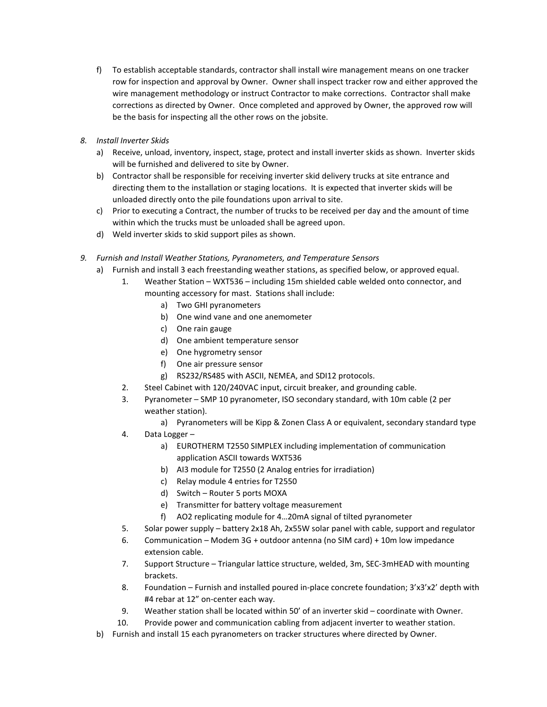- f) To establish acceptable standards, contractor shall install wire management means on one tracker row for inspection and approval by Owner. Owner shall inspect tracker row and either approved the wire management methodology or instruct Contractor to make corrections. Contractor shall make corrections as directed by Owner. Once completed and approved by Owner, the approved row will be the basis for inspecting all the other rows on the jobsite.
- *8. Install Inverter Skids*
	- a) Receive, unload, inventory, inspect, stage, protect and install inverter skids as shown. Inverter skids will be furnished and delivered to site by Owner.
	- b) Contractor shall be responsible for receiving inverter skid delivery trucks at site entrance and directing them to the installation or staging locations. It is expected that inverter skids will be unloaded directly onto the pile foundations upon arrival to site.
	- c) Prior to executing a Contract, the number of trucks to be received per day and the amount of time within which the trucks must be unloaded shall be agreed upon.
	- d) Weld inverter skids to skid support piles as shown.
- *9. Furnish and Install Weather Stations, Pyranometers, and Temperature Sensors*
	- a) Furnish and install 3 each freestanding weather stations, as specified below, or approved equal.
		- 1. Weather Station WXT536 including 15m shielded cable welded onto connector, and mounting accessory for mast. Stations shall include:
			- a) Two GHI pyranometers
			- b) One wind vane and one anemometer
			- c) One rain gauge
			- d) One ambient temperature sensor
			- e) One hygrometry sensor
			- f) One air pressure sensor
			- g) RS232/RS485 with ASCII, NEMEA, and SDI12 protocols.
		- 2. Steel Cabinet with 120/240VAC input, circuit breaker, and grounding cable.
		- 3. Pyranometer SMP 10 pyranometer, ISO secondary standard, with 10m cable (2 per weather station).
			- a) Pyranometers will be Kipp & Zonen Class A or equivalent, secondary standard type
		- 4. Data Logger
			- a) EUROTHERM T2550 SIMPLEX including implementation of communication application ASCII towards WXT536
			- b) AI3 module for T2550 (2 Analog entries for irradiation)
			- c) Relay module 4 entries for T2550
			- d) Switch Router 5 ports MOXA
			- e) Transmitter for battery voltage measurement
			- f) AO2 replicating module for 4…20mA signal of tilted pyranometer
		- 5. Solar power supply battery 2x18 Ah, 2x55W solar panel with cable, support and regulator
		- 6. Communication Modem 3G + outdoor antenna (no SIM card) + 10m low impedance extension cable.
		- 7. Support Structure Triangular lattice structure, welded, 3m, SEC-3mHEAD with mounting brackets.
		- 8. Foundation Furnish and installed poured in-place concrete foundation; 3'x3'x2' depth with #4 rebar at 12" on-center each way.
		- 9. Weather station shall be located within 50' of an inverter skid coordinate with Owner.
		- 10. Provide power and communication cabling from adjacent inverter to weather station.
	- b) Furnish and install 15 each pyranometers on tracker structures where directed by Owner.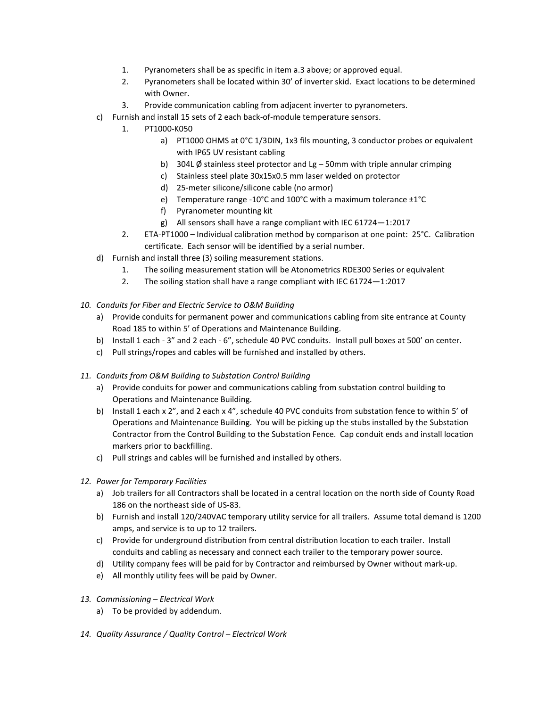- 1. Pyranometers shall be as specific in item a.3 above; or approved equal.
- 2. Pyranometers shall be located within 30' of inverter skid. Exact locations to be determined with Owner.
- 3. Provide communication cabling from adjacent inverter to pyranometers.
- c) Furnish and install 15 sets of 2 each back-of-module temperature sensors.
	- 1. PT1000-K050
		- a) PT1000 OHMS at 0°C 1/3DIN, 1x3 fils mounting, 3 conductor probes or equivalent with IP65 UV resistant cabling
		- b) 304L  $\emptyset$  stainless steel protector and Lg 50mm with triple annular crimping
		- c) Stainless steel plate 30x15x0.5 mm laser welded on protector
		- d) 25-meter silicone/silicone cable (no armor)
		- e) Temperature range -10°C and 100°C with a maximum tolerance ±1°C
		- f) Pyranometer mounting kit
		- g) All sensors shall have a range compliant with IEC 61724—1:2017
	- 2. ETA-PT1000 Individual calibration method by comparison at one point: 25°C. Calibration certificate. Each sensor will be identified by a serial number.
- d) Furnish and install three (3) soiling measurement stations.
	- 1. The soiling measurement station will be Atonometrics RDE300 Series or equivalent
	- 2. The soiling station shall have a range compliant with IEC 61724—1:2017
- *10. Conduits for Fiber and Electric Service to O&M Building*
	- a) Provide conduits for permanent power and communications cabling from site entrance at County Road 185 to within 5' of Operations and Maintenance Building.
	- b) Install 1 each 3" and 2 each 6", schedule 40 PVC conduits. Install pull boxes at 500' on center.
	- c) Pull strings/ropes and cables will be furnished and installed by others.
- *11. Conduits from O&M Building to Substation Control Building*
	- a) Provide conduits for power and communications cabling from substation control building to Operations and Maintenance Building.
	- b) Install 1 each x 2", and 2 each x 4", schedule 40 PVC conduits from substation fence to within 5' of Operations and Maintenance Building. You will be picking up the stubs installed by the Substation Contractor from the Control Building to the Substation Fence. Cap conduit ends and install location markers prior to backfilling.
	- c) Pull strings and cables will be furnished and installed by others.
- *12. Power for Temporary Facilities*
	- a) Job trailers for all Contractors shall be located in a central location on the north side of County Road 186 on the northeast side of US-83.
	- b) Furnish and install 120/240VAC temporary utility service for all trailers. Assume total demand is 1200 amps, and service is to up to 12 trailers.
	- c) Provide for underground distribution from central distribution location to each trailer. Install conduits and cabling as necessary and connect each trailer to the temporary power source.
	- d) Utility company fees will be paid for by Contractor and reimbursed by Owner without mark-up.
	- e) All monthly utility fees will be paid by Owner.
- *13. Commissioning – Electrical Work*
	- a) To be provided by addendum.
- *14. Quality Assurance / Quality Control – Electrical Work*